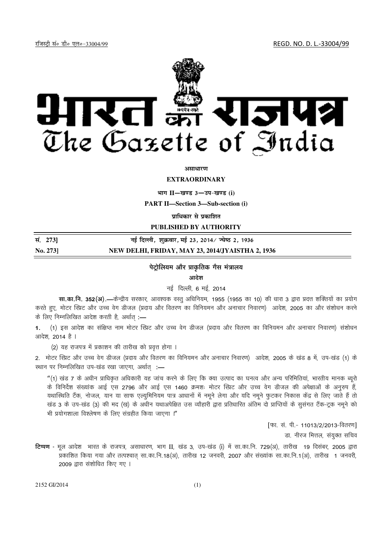REGD. NO. D. L.-33004/99



असाधारण

**EXTRAORDINARY** 

भाग II-खण्ड 3-उप-खण्ड (i)

**PART II-Section 3-Sub-section (i)** 

प्राधिकार से प्रकाशित

PUBLISHED BY AUTHORITY

| सं. 273]              | नई दिल्ली, शुक्रवार, मई 23, 2014∕ ज्येष्ठ 2, 1936 |
|-----------------------|---------------------------------------------------|
| $\mathrm{No.}\,273$ ] | NEW DELHI, FRIDAY, MAY 23, 2014/JYAISTHA 2, 1936  |

# पेट्रोलियम और प्राकृतिक गैस मंत्रालय

आदेश

नई दिल्ली, 6 मई, 2014

सा.का.नि. 352(अ).—केन्द्रीय सरकार, आवश्यक वस्तु अधिनियम, 1955 (1955 का 10) की धारा 3 द्वारा प्रदत्त शक्तियों का प्रयोग करते हुए, मोटर स्प्रिट और उच्च वेग डीजल (प्रदाय और वितरण का विनियमन और अनाचार निवारण) आदेश, 2005 का और संशोधन करने के लिए निम्नलिखित आदेश करती है, अर्थात :-

1. (1) इस आदेश का संक्षिप्त नाम मोटर स्प्रिट और उच्च वेग डीजल (प्रदाय और वितरण का विनियमन और अनाचार निवारण) संशोधन आदेश, 2014 है ।

(2) यह राजपत्र में प्रकाशन की तारीख को प्रवृत्त होगा ।

2. मोटर स्प्रिट और उच्च वेग डीजल (प्रदाय और वितरण का विनियमन और अनाचार निवारण) आदेश, 2005 के खंड 8 में, उप-खंड (1) के स्थान पर निम्नलिखित उप-खंड रखा जाएगा, अर्थात :-

"(1) खंड 7 के अधीन प्राधिकृत अधिकारी यह जांच करने के लिए कि क्या उत्पाद का घनत्व और अन्य परिमितियां, भारतीय मानक ब्यूरो के विनिर्देश संख्यांक आई एस 2796 और आई एस 1460 क्रमशः मोटर स्प्रिट और उच्च वेग डीजल की अपेक्षाओं के अनूरुप हैं, यथास्थिति टैंक, नोजल, यान या साफ एल्यूमिनियम पात्र आधानों में नमूने लेगा और यदि नमूने फुटकर निकास केंद्र से लिए जाते हैं तो खंड 3 के उप-खंड (3) की मद (ख) के अधीन यथाअपेक्षित उस व्यौहारी द्वारा प्रतिधारित अंतिम दो प्राप्तियों के सूसंगत टैंक-टूक नमूने को भी प्रयोगशाला विश्लेषण के लिए संग्रहीत किया जाएगा ।"

[फा. सं. पी.- 11013/2/2013-वितरण]

डा. नीरज मित्तल, संयक्त सचिव

टिप्पण - मूल आदेश भारत के राजपत्र, असाधारण, भाग II, खंड 3, उप-खंड (i) में सा.का.नि. 729(अ), तारीख 19 दिसंबर, 2005 द्वारा प्रकाशित किया गया और तत्पश्चात सा.का.नि.18(अ), तारीख 12 जनवरी, 2007 और संख्यांक सा.का.नि.1(अ), तारीख 1 जनवरी, 2009 द्वारा संशोधित किए गए ।

2152 GI/2014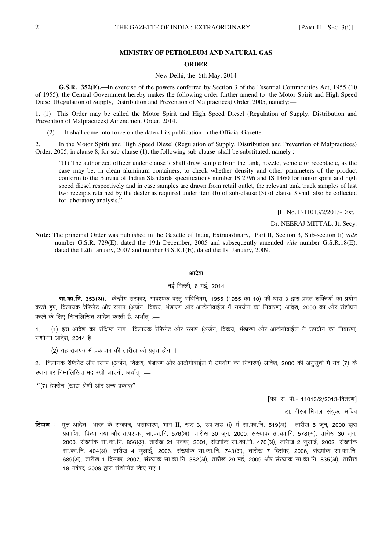### **MINISTRY OF PETROLEUM AND NATURAL GAS**

# **ORDER**

New Delhi, the 6th May, 2014

**G.S.R. 352(E).—**In exercise of the powers conferred by Section 3 of the Essential Commodities Act, 1955 (10 of 1955), the Central Government hereby makes the following order further amend to the Motor Spirit and High Speed Diesel (Regulation of Supply, Distribution and Prevention of Malpractices) Order, 2005, namely:—

1. (1) This Order may be called the Motor Spirit and High Speed Diesel (Regulation of Supply, Distribution and Prevention of Malpractices) Amendment Order, 2014.

(2) It shall come into force on the date of its publication in the Official Gazette.

2. In the Motor Spirit and High Speed Diesel (Regulation of Supply, Distribution and Prevention of Malpractices) Order, 2005, in clause 8, for sub-clause (1), the following sub-clause shall be substituted, namely :—

"(1) The authorized officer under clause 7 shall draw sample from the tank, nozzle, vehicle or receptacle, as the case may be, in clean aluminum containers, to check whether density and other parameters of the product conform to the Bureau of Indian Standards specifications number IS 2796 and IS 1460 for motor spirit and high speed diesel respectively and in case samples are drawn from retail outlet, the relevant tank truck samples of last two receipts retained by the dealer as required under item (b) of sub-clause (3) of clause 3 shall also be collected for laboratory analysis."

[F. No. P-11013/2/2013-Dist.]

Dr. NEERAJ MITTAL, Jt. Secy.

**Note:** The principal Order was published in the Gazette of India, Extraordinary, Part II, Section 3, Sub-section (i) *vide* number G.S.R. 729(E), dated the 19th December, 2005 and subsequently amended *vide* number G.S.R.18(E), dated the 12th January, 2007 and number G.S.R.1(E), dated the 1st January, 2009.

#### आदेश

# नई दिल्ली, 6 मई, 2014

**सा.का.नि. 353(अ).-** केन्द्रीय सरकार. आवश्यक वस्त अधिनियम. 1955 (1955 का 10) की धारा 3 द्वारा प्रदत्त शक्तियों का प्रयोग करते हुए, विलायक रेफिनेट और स्लाप (अर्जन, विक्रय, भंडारण और आटोमोबाईल में उपयोग का निवारण) आदेश, 2000 का और संशोधन करने के लिए निम्नलिखित आदेश करती है, अर्थात :—

1. (1) इस आदेश का संक्षिप्त नाम विलायक रेफिनेट और स्लाप (अर्जन, विक्रय, भंडारण और आटोमोबाईल में उपयोग का निवारण) संशोधन आदेश, 2014 है ।

(2) यह राजपत्र में प्रकाशन की तारीख को प्रवृत्त होगा ।

2. विलायक रेफिनेट और स्लाप (अर्जन, विक्रय, भंडारण और आटोमोबाईल में उपयोग का निवारण) आदेश, 2000 की अनुसूची में मद (7) के रथान पर निम्नलिखित मद रखी जाएगी, अर्थात :-

"(7) हेक्सेन (खाद्य श्रेणी और अन्य प्रकार)"

[फा. सं. पी.- 11013/2/2013-वितरण]

डा. नीरज मित्तल, संयुक्त सचिव

**टिप्पण**: मूल आदेश भारत के राजपत्र, असाधारण, भाग II, खंड 3, उप-खंड (i) में सा.का.नि. 519(अ), तारीख 5 जून, 2000 द्वारा प्रकाशित किया गया और तत्पश्चात सा.का.नि. 576(अ), तारीख 30 जून, 2000, संख्यांक सा.का.नि. 578(अ), तारीख 30 जून, 2000, संख्यांक सा.का.नि. 856(अ), तारीख 21 नवंबर, 2001, संख्यांक सा.का.नि. 470(अ), तारीख 2 जुलाई, 2002, संख्यांक .<br>सा.का.नि. 404(अ), तारीख 4 जुलाई, 2006, संख्यांक सा.का.नि. 743(अ), तारीख 7 दिसंबर, 2006, संख्यांक सा.का.नि. 689(अ), तारीख 1 दिसंबर, 2007, संख्यांक सा.का.नि. 382(अ), तारीख 29 मई, 2009 और संख्यांक सा.का.नि. 835(अ), तारीख 19 नवंबर, 2009 द्वारा संशोधित किए गए ।